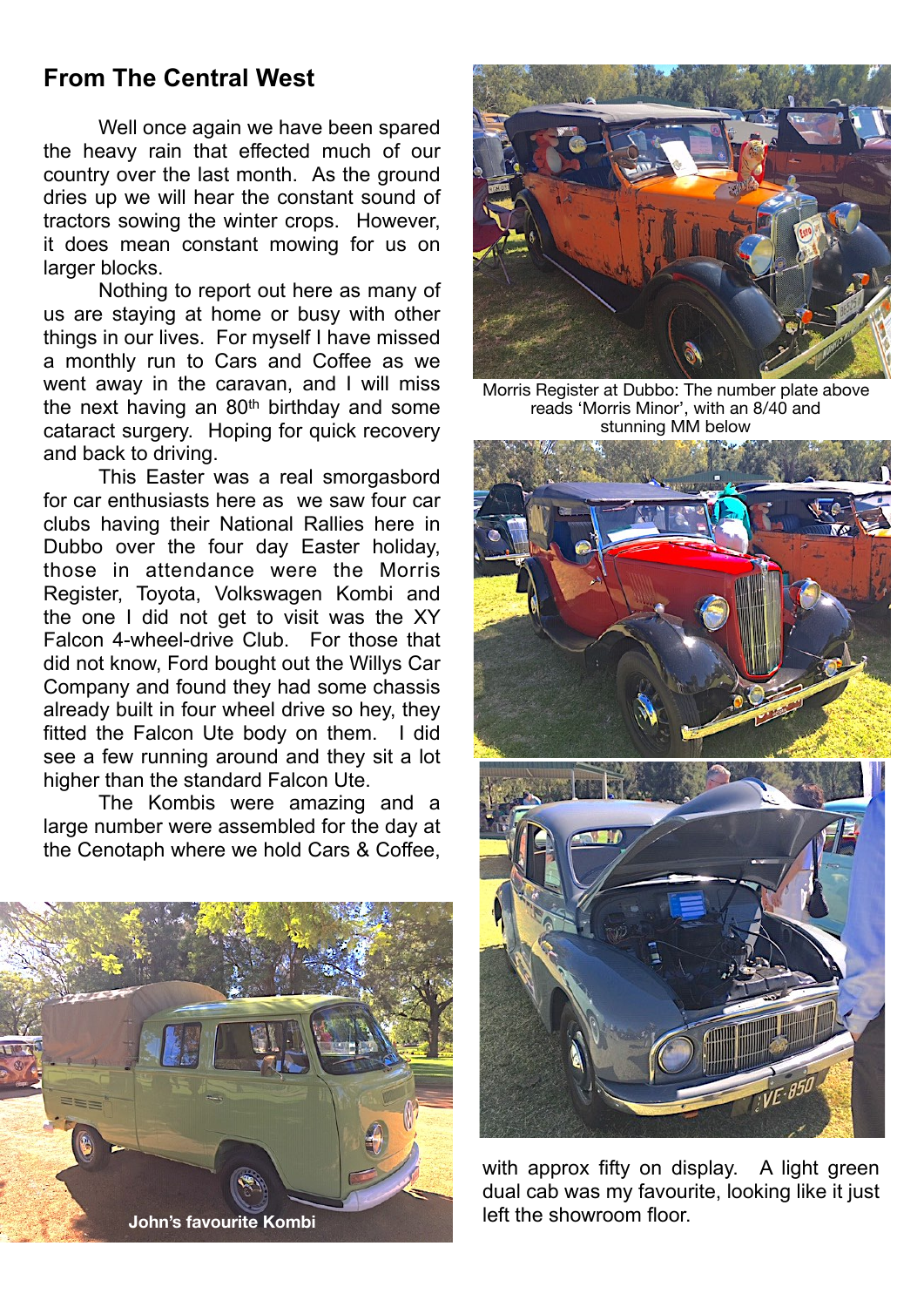## **From The Central West**

 Well once again we have been spared the heavy rain that effected much of our country over the last month. As the ground dries up we will hear the constant sound of tractors sowing the winter crops. However, it does mean constant mowing for us on larger blocks.

 Nothing to report out here as many of us are staying at home or busy with other things in our lives. For myself I have missed a monthly run to Cars and Coffee as we went away in the caravan, and I will miss the next having an 80th birthday and some cataract surgery. Hoping for quick recovery and back to driving.

 This Easter was a real smorgasbord for car enthusiasts here as we saw four car clubs having their National Rallies here in Dubbo over the four day Easter holiday, those in attendance were the Morris Register, Toyota, Volkswagen Kombi and the one I did not get to visit was the XY Falcon 4-wheel-drive Club. For those that did not know, Ford bought out the Willys Car Company and found they had some chassis already built in four wheel drive so hey, they fitted the Falcon Ute body on them. I did see a few running around and they sit a lot higher than the standard Falcon Ute.

 The Kombis were amazing and a large number were assembled for the day at the Cenotaph where we hold Cars & Coffee,





Morris Register at Dubbo: The number plate above reads 'Morris Minor', with an 8/40 and stunning MM below



with approx fifty on display. A light green dual cab was my favourite, looking like it just left the showroom floor.